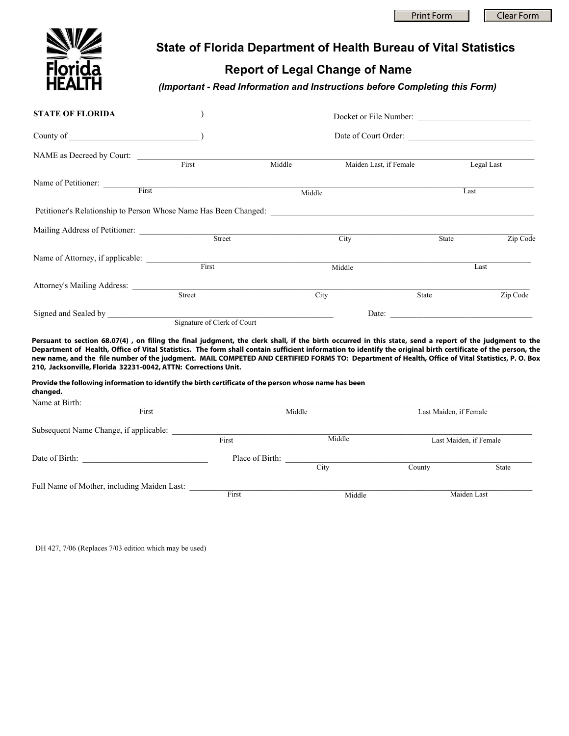Print Form | Clear Form



## **State of Florida Department of Health Bureau of Vital Statistics**

## **Report of Legal Change of Name**

*(Important - Read Information and Instructions before Completing this Form)* 

| <b>STATE OF FLORIDA</b>                                                                                                                                                                                                                                                                                                                                                                                                                                                                                                                       |        | Docket or File Number:      |                        |                        |          |  |
|-----------------------------------------------------------------------------------------------------------------------------------------------------------------------------------------------------------------------------------------------------------------------------------------------------------------------------------------------------------------------------------------------------------------------------------------------------------------------------------------------------------------------------------------------|--------|-----------------------------|------------------------|------------------------|----------|--|
| County of the country of the country of the country of the country of the country of the country of the country of the country of the country of the country of the country of the country of the country of the country of th                                                                                                                                                                                                                                                                                                                |        |                             |                        |                        |          |  |
| NAME as Decreed by Court:                                                                                                                                                                                                                                                                                                                                                                                                                                                                                                                     |        |                             |                        |                        |          |  |
|                                                                                                                                                                                                                                                                                                                                                                                                                                                                                                                                               | First  | Middle                      | Maiden Last, if Female | Legal Last             |          |  |
| Name of Petitioner: First                                                                                                                                                                                                                                                                                                                                                                                                                                                                                                                     |        |                             |                        |                        |          |  |
|                                                                                                                                                                                                                                                                                                                                                                                                                                                                                                                                               |        | Middle                      |                        | Last                   |          |  |
| Petitioner's Relationship to Person Whose Name Has Been Changed:                                                                                                                                                                                                                                                                                                                                                                                                                                                                              |        |                             |                        |                        |          |  |
|                                                                                                                                                                                                                                                                                                                                                                                                                                                                                                                                               |        |                             |                        |                        |          |  |
|                                                                                                                                                                                                                                                                                                                                                                                                                                                                                                                                               |        |                             | City                   | State                  | Zip Code |  |
|                                                                                                                                                                                                                                                                                                                                                                                                                                                                                                                                               |        |                             |                        |                        |          |  |
|                                                                                                                                                                                                                                                                                                                                                                                                                                                                                                                                               | First  |                             | Middle                 | Last                   |          |  |
|                                                                                                                                                                                                                                                                                                                                                                                                                                                                                                                                               |        |                             |                        |                        |          |  |
|                                                                                                                                                                                                                                                                                                                                                                                                                                                                                                                                               | Street | City                        |                        | State                  | Zip Code |  |
| Signed and Sealed by                                                                                                                                                                                                                                                                                                                                                                                                                                                                                                                          |        |                             |                        | Date:                  |          |  |
|                                                                                                                                                                                                                                                                                                                                                                                                                                                                                                                                               |        | Signature of Clerk of Court |                        |                        |          |  |
| Persuant to section 68.07(4), on filing the final judgment, the clerk shall, if the birth occurred in this state, send a report of the judgment to the<br>Department of Health, Office of Vital Statistics. The form shall contain sufficient information to identify the original birth certificate of the person, the<br>new name, and the file number of the judgment. MAIL COMPETED AND CERTIFIED FORMS TO: Department of Health, Office of Vital Statistics, P. O. Box<br>210, Jacksonville, Florida 32231-0042, ATTN: Corrections Unit. |        |                             |                        |                        |          |  |
| Provide the following information to identify the birth certificate of the person whose name has been<br>changed.                                                                                                                                                                                                                                                                                                                                                                                                                             |        |                             |                        |                        |          |  |
|                                                                                                                                                                                                                                                                                                                                                                                                                                                                                                                                               |        |                             |                        |                        |          |  |
| First                                                                                                                                                                                                                                                                                                                                                                                                                                                                                                                                         |        | Middle                      |                        | Last Maiden, if Female |          |  |
| $Subaequant Name Chanca$ if $amliabla$ .                                                                                                                                                                                                                                                                                                                                                                                                                                                                                                      |        |                             |                        |                        |          |  |

| Subsequent Name Change, if applicable:      |                 |        |                        |       |
|---------------------------------------------|-----------------|--------|------------------------|-------|
|                                             | First           | Middle | Last Maiden, if Female |       |
| Date of Birth:                              | Place of Birth: | City   | County                 | State |
| Full Name of Mother, including Maiden Last: |                 |        |                        |       |
|                                             | First           | Middle | Maiden Last            |       |

DH 427, 7/06 (Replaces 7/03 edition which may be used)